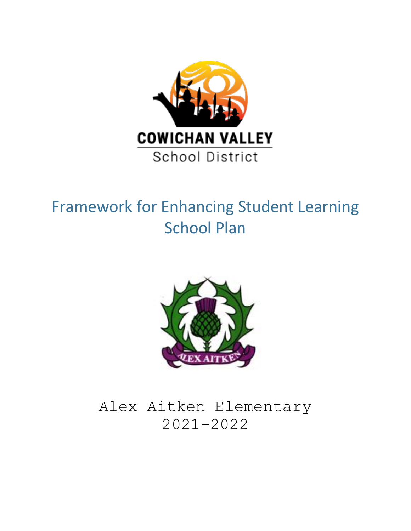

# Framework for Enhancing Student Learning School Plan



## Alex Aitken Elementary 2021-2022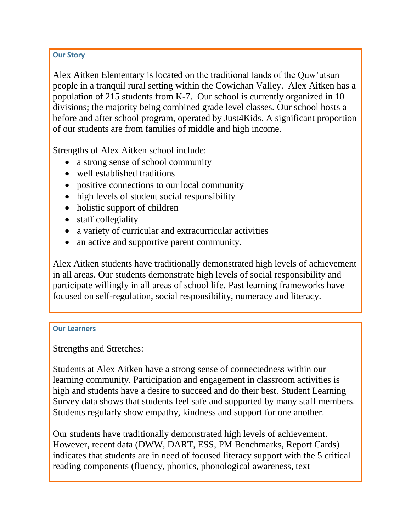#### **Our Story**

Alex Aitken Elementary is located on the traditional lands of the Quw'utsun people in a tranquil rural setting within the Cowichan Valley. Alex Aitken has a population of 215 students from K-7. Our school is currently organized in 10 divisions; the majority being combined grade level classes. Our school hosts a before and after school program, operated by Just4Kids. A significant proportion of our students are from families of middle and high income.

Strengths of Alex Aitken school include:

- a strong sense of school community
- well established traditions
- positive connections to our local community
- high levels of student social responsibility
- holistic support of children
- staff collegiality
- a variety of curricular and extracurricular activities
- an active and supportive parent community.

Alex Aitken students have traditionally demonstrated high levels of achievement in all areas. Our students demonstrate high levels of social responsibility and participate willingly in all areas of school life. Past learning frameworks have focused on self-regulation, social responsibility, numeracy and literacy.

#### **Our Learners**

Strengths and Stretches:

Students at Alex Aitken have a strong sense of connectedness within our learning community. Participation and engagement in classroom activities is high and students have a desire to succeed and do their best. Student Learning Survey data shows that students feel safe and supported by many staff members. Students regularly show empathy, kindness and support for one another.

Our students have traditionally demonstrated high levels of achievement. However, recent data (DWW, DART, ESS, PM Benchmarks, Report Cards) indicates that students are in need of focused literacy support with the 5 critical reading components (fluency, phonics, phonological awareness, text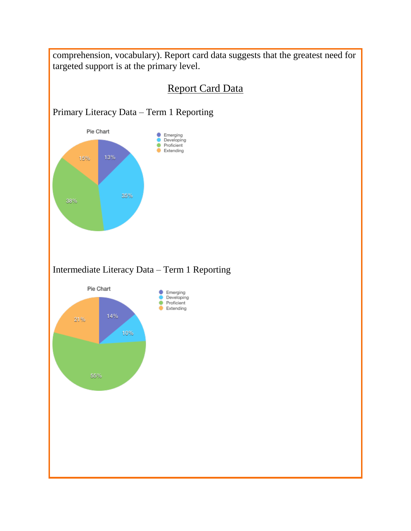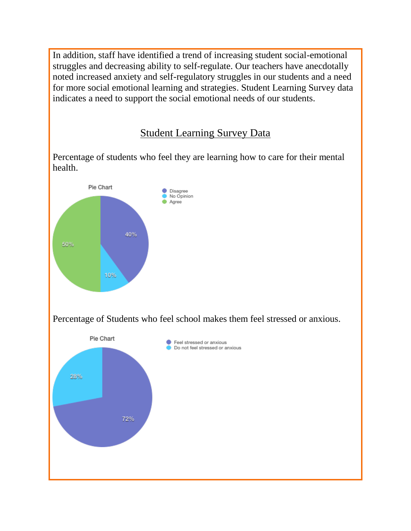In addition, staff have identified a trend of increasing student social-emotional struggles and decreasing ability to self-regulate. Our teachers have anecdotally noted increased anxiety and self-regulatory struggles in our students and a need for more social emotional learning and strategies. Student Learning Survey data indicates a need to support the social emotional needs of our students.

### Student Learning Survey Data

Percentage of students who feel they are learning how to care for their mental health.

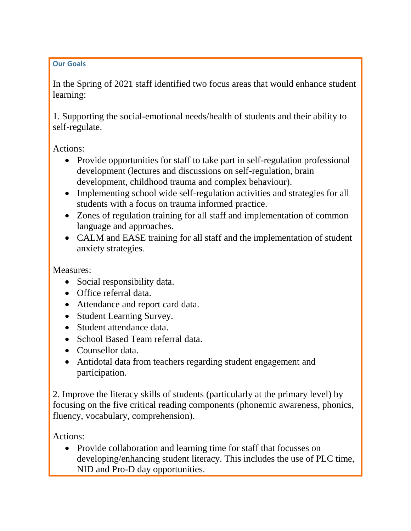#### **Our Goals**

In the Spring of 2021 staff identified two focus areas that would enhance student learning:

1. Supporting the social-emotional needs/health of students and their ability to self-regulate.

Actions:

- Provide opportunities for staff to take part in self-regulation professional development (lectures and discussions on self-regulation, brain development, childhood trauma and complex behaviour).
- Implementing school wide self-regulation activities and strategies for all students with a focus on trauma informed practice.
- Zones of regulation training for all staff and implementation of common language and approaches.
- CALM and EASE training for all staff and the implementation of student anxiety strategies.

Measures:

- Social responsibility data.
- Office referral data.
- Attendance and report card data.
- Student Learning Survey.
- Student attendance data.
- School Based Team referral data.
- Counsellor data.
- Antidotal data from teachers regarding student engagement and participation.

2. Improve the literacy skills of students (particularly at the primary level) by focusing on the five critical reading components (phonemic awareness, phonics, fluency, vocabulary, comprehension).

Actions:

• Provide collaboration and learning time for staff that focusses on developing/enhancing student literacy. This includes the use of PLC time, NID and Pro-D day opportunities.